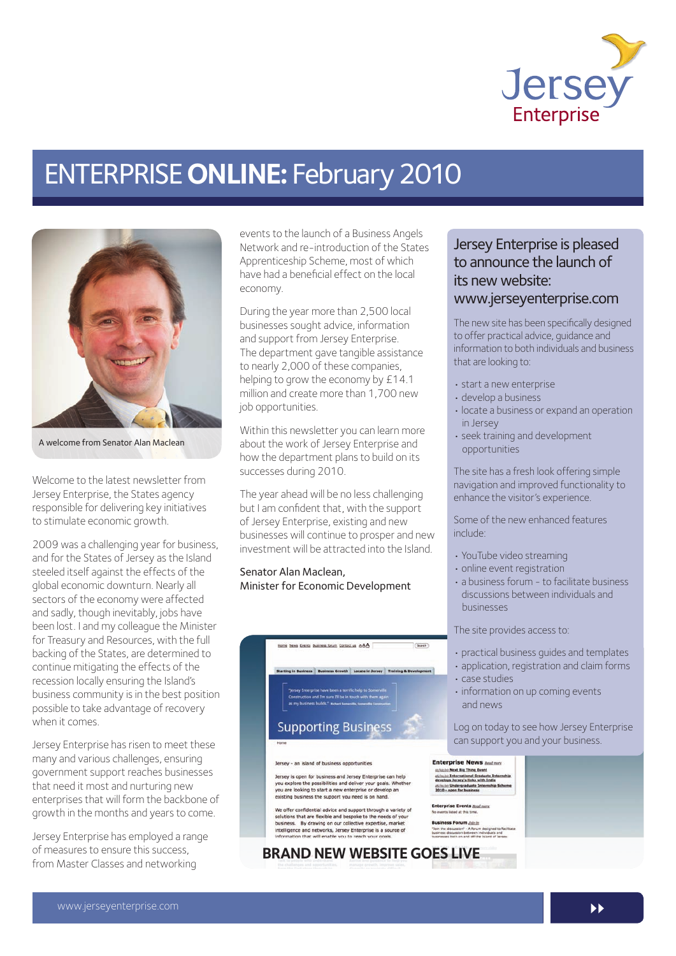

# ENTERPRISE **ONLINE:** February 2010



A welcome from Senator Alan Maclean

Welcome to the latest newsletter from Jersey Enterprise, the States agency responsible for delivering key initiatives to stimulate economic growth.

2009 was a challenging year for business, and for the States of Jersey as the Island steeled itself against the effects of the global economic downturn. Nearly all sectors of the economy were affected and sadly, though inevitably, jobs have been lost. I and my colleague the Minister for Treasury and Resources, with the full backing of the States, are determined to continue mitigating the effects of the recession locally ensuring the Island's business community is in the best position possible to take advantage of recovery when it comes.

Jersey Enterprise has risen to meet these many and various challenges, ensuring government support reaches businesses that need it most and nurturing new enterprises that will form the backbone of growth in the months and years to come.

Jersey Enterprise has employed a range of measures to ensure this success, from Master Classes and networking

events to the launch of a Business Angels Network and re-introduction of the States Apprenticeship Scheme, most of which have had a beneficial effect on the local economy.

During the year more than 2,500 local businesses sought advice, information and support from Jersey Enterprise. The department gave tangible assistance to nearly 2,000 of these companies, helping to grow the economy by £14.1 million and create more than 1,700 new job opportunities.

Within this newsletter you can learn more about the work of Jersey Enterprise and how the department plans to build on its successes during 2010.

The year ahead will be no less challenging but I am confident that, with the support of Jersey Enterprise, existing and new businesses will continue to prosper and new investment will be attracted into the Island.

#### Senator Alan Maclean, Minister for Economic Development



### Jersey Enterprise is pleased to announce the launch of its new website: www.jerseyenterprise.com

The new site has been specifically designed to offer practical advice, guidance and information to both individuals and business that are looking to:

- start a new enterprise
- develop a business
- locate a business or expand an operation in Jersey
- seek training and development opportunities

The site has a fresh look offering simple navigation and improved functionality to enhance the visitor's experience.

Some of the new enhanced features include:

- YouTube video streaming
- $\cdot$  online event registration
- a business forum to facilitate business discussions between individuals and businesses

The site provides access to:

- practical business guides and templates
- application, registration and claim forms
- case studies
- information on up coming events and news

Log on today to see how Jersey Enterprise can support you and your business.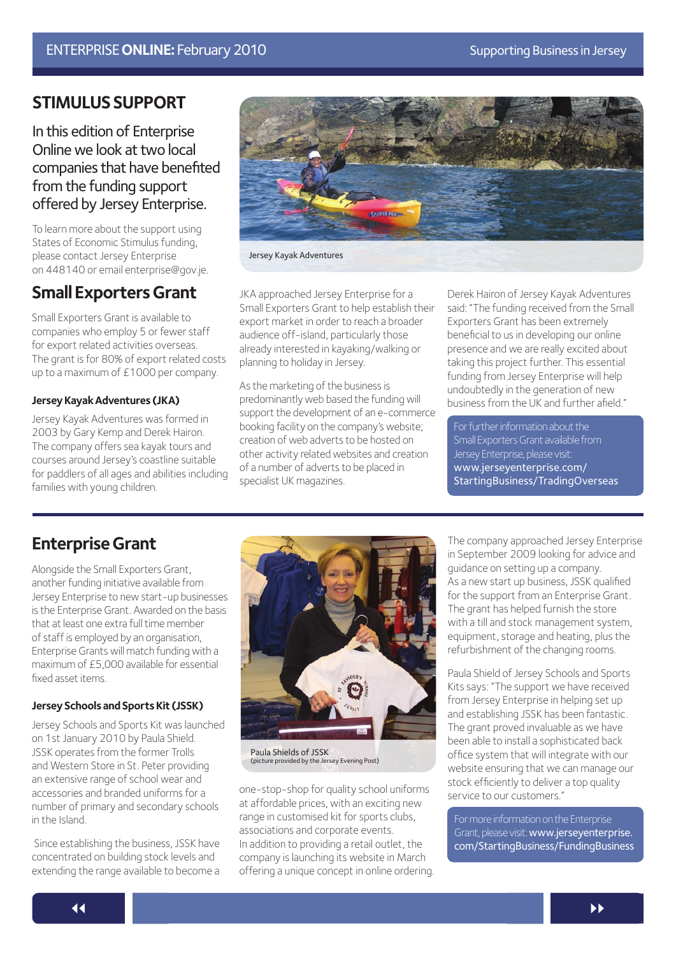### **STIMULUS SUPPORT**

In this edition of Enterprise Online we look at two local companies that have benefited from the funding support offered by Jersey Enterprise.

To learn more about the support using States of Economic Stimulus funding, please contact Jersey Enterprise on 448140 or email enterprise@gov.je.

### **Small Exporters Grant**

Small Exporters Grant is available to companies who employ 5 or fewer staff for export related activities overseas. The grant is for 80% of export related costs up to a maximum of £1000 per company.

#### **Jersey Kayak Adventures (JKA)**

Jersey Kayak Adventures was formed in 2003 by Gary Kemp and Derek Hairon. The company offers sea kayak tours and courses around Jersey's coastline suitable for paddlers of all ages and abilities including families with young children.



Jersey Kayak Adventures

JKA approached Jersey Enterprise for a Small Exporters Grant to help establish their export market in order to reach a broader audience off-island, particularly those already interested in kayaking/walking or planning to holiday in Jersey.

As the marketing of the business is predominantly web based the funding will support the development of an e-commerce booking facility on the company's website; creation of web adverts to be hosted on other activity related websites and creation of a number of adverts to be placed in specialist UK magazines.

Derek Hairon of Jersey Kayak Adventures said: "The funding received from the Small Exporters Grant has been extremely beneficial to us in developing our online presence and we are really excited about taking this project further. This essential funding from Jersey Enterprise will help undoubtedly in the generation of new business from the UK and further afield."

For further information about the Small Exporters Grant available from Jersey Enterprise, please visit: www.jerseyenterprise.com/ [StartingBusiness/TradingOverseas](http://www.jerseyenterprise.com/StartingBusiness/Pages/TradingOverseas.aspx)

### **Enterprise Grant**

Alongside the Small Exporters Grant, another funding initiative available from Jersey Enterprise to new start-up businesses is the Enterprise Grant. Awarded on the basis that at least one extra full time member of staff is employed by an organisation, Enterprise Grants will match funding with a maximum of £5,000 available for essential fixed asset items.

#### **Jersey Schools and Sports Kit (JSSK)**

Jersey Schools and Sports Kit was launched on 1st January 2010 by Paula Shield. JSSK operates from the former Trolls and Western Store in St. Peter providing an extensive range of school wear and accessories and branded uniforms for a number of primary and secondary schools in the Island.

 Since establishing the business, JSSK have concentrated on building stock levels and extending the range available to become a



Paula Shields of JSSK (picture provided by the Jersey Evening Post)

one-stop-shop for quality school uniforms at affordable prices, with an exciting new range in customised kit for sports clubs, associations and corporate events. In addition to providing a retail outlet, the company is launching its website in March offering a unique concept in online ordering. The company approached Jersey Enterprise in September 2009 looking for advice and guidance on setting up a company. As a new start up business, JSSK qualified for the support from an Enterprise Grant. The grant has helped furnish the store with a till and stock management system, equipment, storage and heating, plus the refurbishment of the changing rooms.

Paula Shield of Jersey Schools and Sports Kits says: "The support we have received from Jersey Enterprise in helping set up and establishing JSSK has been fantastic. The grant proved invaluable as we have been able to install a sophisticated back office system that will integrate with our website ensuring that we can manage our stock efficiently to deliver a top quality service to our customers."

For more information on the Enterprise Grant, please visit: www.jerseyenterprise. [com/StartingBusiness/FundingBusiness](http://www.jerseyenterprise.com/StartingBusiness/Pages/FundingBusiness.aspx)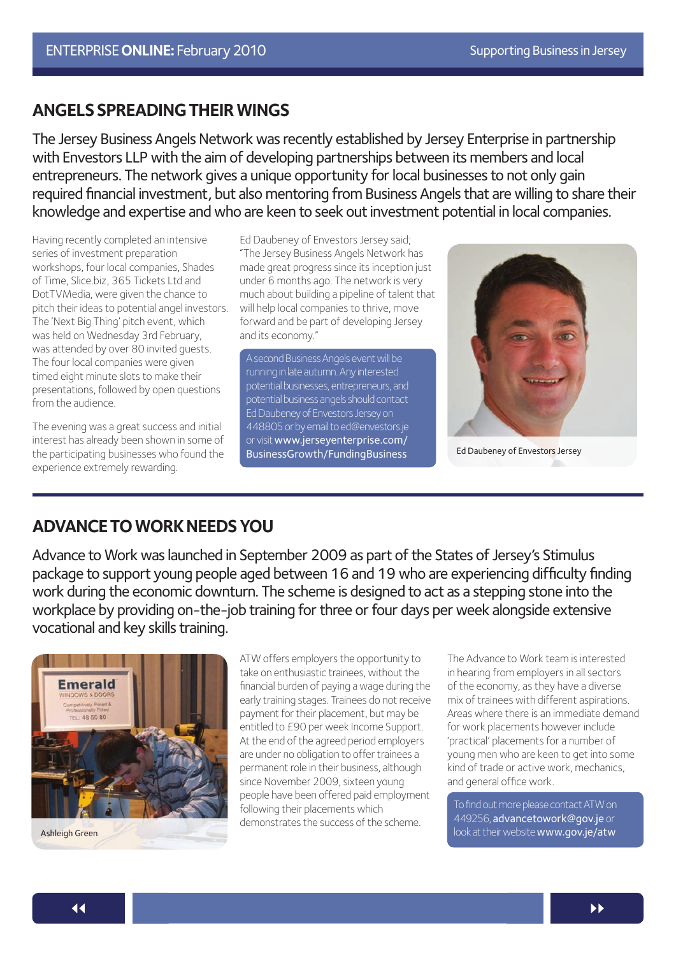### **ANGELS SPREADING THEIR WINGS**

The Jersey Business Angels Network was recently established by Jersey Enterprise in partnership with Envestors LLP with the aim of developing partnerships between its members and local entrepreneurs. The network gives a unique opportunity for local businesses to not only gain required financial investment, but also mentoring from Business Angels that are willing to share their knowledge and expertise and who are keen to seek out investment potential in local companies.

Having recently completed an intensive series of investment preparation workshops, four local companies, Shades of Time, Slice.biz, 365 Tickets Ltd and DotTVMedia, were given the chance to pitch their ideas to potential angel investors. The 'Next Big Thing' pitch event, which was held on Wednesday 3rd February, was attended by over 80 invited guests. The four local companies were given timed eight minute slots to make their presentations, followed by open questions from the audience.

The evening was a great success and initial interest has already been shown in some of the participating businesses who found the experience extremely rewarding.

Ed Daubeney of Envestors Jersey said; "The Jersey Business Angels Network has made great progress since its inception just under 6 months ago. The network is very much about building a pipeline of talent that will help local companies to thrive, move forward and be part of developing Jersey and its economy."

A second Business Angels event will be running in late autumn. Any interested potential businesses, entrepreneurs, and potential business angels should contact Ed Daubeney of Envestors Jersey on 448805 or by email to ed@envestors.je or visit www.jerseyenterprise.com/ [BusinessGrowth/FundingBusiness](http://www.jerseyenterprise.com/BusinessGrowth/Pages/FundingBusiness.aspx)



Ed Daubeney of Envestors Jersey

### **ADVANCE TO WORK NEEDS YOU**

Advance to Work was launched in September 2009 as part of the States of Jersey's Stimulus package to support young people aged between 16 and 19 who are experiencing difficulty finding work during the economic downturn. The scheme is designed to act as a stepping stone into the workplace by providing on-the-job training for three or four days per week alongside extensive vocational and key skills training.



ATW offers employers the opportunity to take on enthusiastic trainees, without the financial burden of paying a wage during the early training stages. Trainees do not receive payment for their placement, but may be entitled to £90 per week Income Support. At the end of the agreed period employers are under no obligation to offer trainees a permanent role in their business, although since November 2009, sixteen young people have been offered paid employment following their placements which demonstrates the success of the scheme.

The Advance to Work team is interested in hearing from employers in all sectors of the economy, as they have a diverse mix of trainees with different aspirations. Areas where there is an immediate demand for work placements however include 'practical' placements for a number of young men who are keen to get into some kind of trade or active work, mechanics, and general office work.

To find out more please contact ATW on 449256, [advancetowork@gov.je](http://www.gov.je/atw) or look at their website www.gov.je/atw